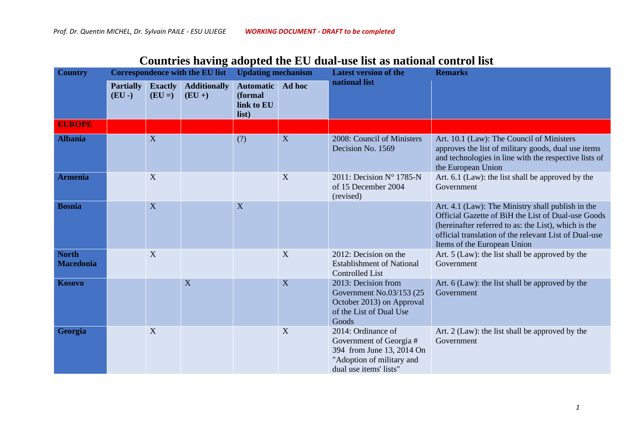| <b>Country</b>                   |                               |                            | <b>Correspondence with the EU list</b> | <b>Updating mechanism</b>                          |        | <b>Latest version of the</b>                                                                                                     | <b>Remarks</b>                                                                                                                                                                                                                                          |  |
|----------------------------------|-------------------------------|----------------------------|----------------------------------------|----------------------------------------------------|--------|----------------------------------------------------------------------------------------------------------------------------------|---------------------------------------------------------------------------------------------------------------------------------------------------------------------------------------------------------------------------------------------------------|--|
|                                  | <b>Partially</b><br>$(EU - )$ | <b>Exactly</b><br>$(EU =)$ | <b>Additionally</b><br>$(EU +)$        | <b>Automatic</b><br>(formal<br>link to EU<br>list) | Ad hoc | national list                                                                                                                    |                                                                                                                                                                                                                                                         |  |
| <b>EUROPE</b>                    |                               |                            |                                        |                                                    |        |                                                                                                                                  |                                                                                                                                                                                                                                                         |  |
| <b>Albania</b>                   |                               | $\mathbf X$                |                                        | (?)                                                | X      | 2008: Council of Ministers<br>Decision No. 1569                                                                                  | Art. 10.1 (Law): The Council of Ministers<br>approves the list of military goods, dual use items<br>and technologies in line with the respective lists of<br>the European Union                                                                         |  |
| Armenia                          |                               | X                          |                                        |                                                    | X      | 2011: Decision $N^{\circ}$ 1785-N<br>of 15 December 2004<br>(revised)                                                            | Art. 6.1 (Law): the list shall be approved by the<br>Government                                                                                                                                                                                         |  |
| <b>Bosnia</b>                    |                               | X                          |                                        | $\bold{X}$                                         |        |                                                                                                                                  | Art. 4.1 (Law): The Ministry shall publish in the<br>Official Gazette of BiH the List of Dual-use Goods<br>(hereinafter referred to as: the List), which is the<br>official translation of the relevant List of Dual-use<br>Items of the European Union |  |
| <b>North</b><br><b>Macedonia</b> |                               | X                          |                                        |                                                    | X      | 2012: Decision on the<br><b>Establishment of National</b><br><b>Controlled List</b>                                              | Art. 5 (Law): the list shall be approved by the<br>Government                                                                                                                                                                                           |  |
| <b>Kosovo</b>                    |                               |                            | $\boldsymbol{\mathrm{X}}$              |                                                    | X      | 2013: Decision from<br>Government No.03/153 (25<br>October 2013) on Approval<br>of the List of Dual Use<br>Goods                 | Art. 6 (Law): the list shall be approved by the<br>Government                                                                                                                                                                                           |  |
| Georgia                          |                               | X                          |                                        |                                                    | X      | 2014: Ordinance of<br>Government of Georgia#<br>394 from June 13, 2014 On<br>"Adoption of military and<br>dual use items' lists" | Art. 2 (Law): the list shall be approved by the<br>Government                                                                                                                                                                                           |  |

## **Countries having adopted the EU dual-use list as national control list**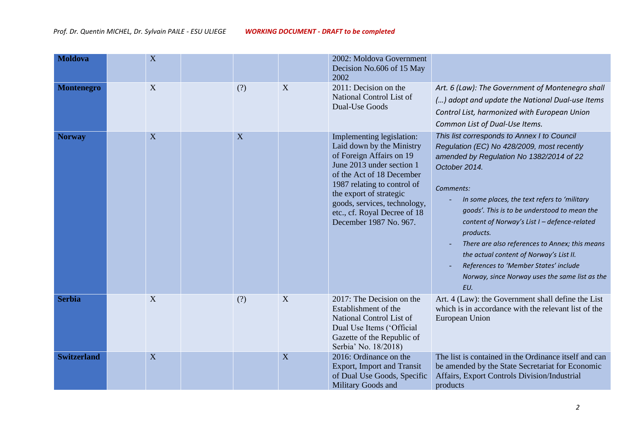| <b>Moldova</b>     | X |     |   | 2002: Moldova Government<br>Decision No.606 of 15 May<br>2002                                                                                                                                                                                                                                    |                                                                                                                                                                                                                                                                                                                                                                                                                                                                                                                                 |
|--------------------|---|-----|---|--------------------------------------------------------------------------------------------------------------------------------------------------------------------------------------------------------------------------------------------------------------------------------------------------|---------------------------------------------------------------------------------------------------------------------------------------------------------------------------------------------------------------------------------------------------------------------------------------------------------------------------------------------------------------------------------------------------------------------------------------------------------------------------------------------------------------------------------|
| <b>Montenegro</b>  | X | (?) | X | 2011: Decision on the<br>National Control List of<br>Dual-Use Goods                                                                                                                                                                                                                              | Art. 6 (Law): The Government of Montenegro shall<br>() adopt and update the National Dual-use Items<br>Control List, harmonized with European Union<br>Common List of Dual-Use Items.                                                                                                                                                                                                                                                                                                                                           |
| <b>Norway</b>      | X | X   |   | Implementing legislation:<br>Laid down by the Ministry<br>of Foreign Affairs on 19<br>June 2013 under section 1<br>of the Act of 18 December<br>1987 relating to control of<br>the export of strategic<br>goods, services, technology,<br>etc., cf. Royal Decree of 18<br>December 1987 No. 967. | This list corresponds to Annex I to Council<br>Regulation (EC) No 428/2009, most recently<br>amended by Regulation No 1382/2014 of 22<br>October 2014.<br>Comments:<br>In some places, the text refers to 'military<br>goods'. This is to be understood to mean the<br>content of Norway's List I - defence-related<br>products.<br>There are also references to Annex; this means<br>the actual content of Norway's List II.<br>References to 'Member States' include<br>Norway, since Norway uses the same list as the<br>EU. |
| <b>Serbia</b>      | X | (?) | X | 2017: The Decision on the<br>Establishment of the<br>National Control List of<br>Dual Use Items ('Official<br>Gazette of the Republic of<br>Serbia' No. 18/2018)                                                                                                                                 | Art. 4 (Law): the Government shall define the List<br>which is in accordance with the relevant list of the<br>European Union                                                                                                                                                                                                                                                                                                                                                                                                    |
| <b>Switzerland</b> | X |     | X | 2016: Ordinance on the<br><b>Export, Import and Transit</b><br>of Dual Use Goods, Specific<br>Military Goods and                                                                                                                                                                                 | The list is contained in the Ordinance itself and can<br>be amended by the State Secretariat for Economic<br>Affairs, Export Controls Division/Industrial<br>products                                                                                                                                                                                                                                                                                                                                                           |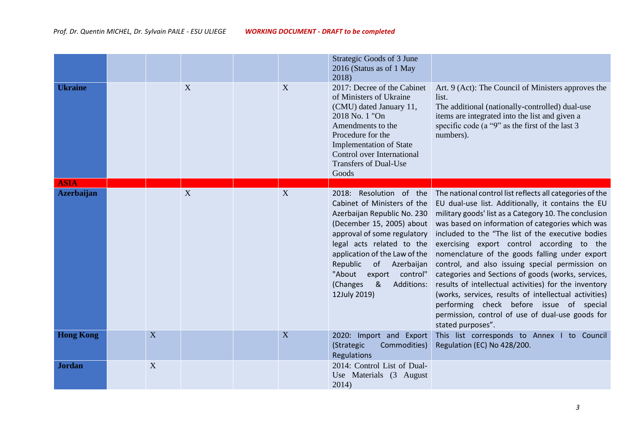| <b>Ukraine</b>    |   | X | X | Strategic Goods of 3 June<br>2016 (Status as of 1 May<br>2018)<br>2017: Decree of the Cabinet<br>of Ministers of Ukraine<br>(CMU) dated January 11,<br>2018 No. 1 "On<br>Amendments to the<br>Procedure for the<br><b>Implementation of State</b><br>Control over International<br><b>Transfers of Dual-Use</b> | Art. 9 (Act): The Council of Ministers approves the<br>list.<br>The additional (nationally-controlled) dual-use<br>items are integrated into the list and given a<br>specific code (a "9" as the first of the last $3$<br>numbers).                                                                                                                                                                                                                                                                                                                                                                                                                                                                                                                      |
|-------------------|---|---|---|-----------------------------------------------------------------------------------------------------------------------------------------------------------------------------------------------------------------------------------------------------------------------------------------------------------------|----------------------------------------------------------------------------------------------------------------------------------------------------------------------------------------------------------------------------------------------------------------------------------------------------------------------------------------------------------------------------------------------------------------------------------------------------------------------------------------------------------------------------------------------------------------------------------------------------------------------------------------------------------------------------------------------------------------------------------------------------------|
|                   |   |   |   | Goods                                                                                                                                                                                                                                                                                                           |                                                                                                                                                                                                                                                                                                                                                                                                                                                                                                                                                                                                                                                                                                                                                          |
| <b>ASIA</b>       |   |   |   |                                                                                                                                                                                                                                                                                                                 |                                                                                                                                                                                                                                                                                                                                                                                                                                                                                                                                                                                                                                                                                                                                                          |
| <b>Azerbaijan</b> |   | X | X | Cabinet of Ministers of the<br>Azerbaijan Republic No. 230<br>(December 15, 2005) about<br>approval of some regulatory<br>legal acts related to the<br>application of the Law of the<br>Republic<br>of Azerbaijan<br>"About<br>control"<br>export<br>(Changes<br>&<br>Additions:<br>12July 2019)                | 2018: Resolution of the The national control list reflects all categories of the<br>EU dual-use list. Additionally, it contains the EU<br>military goods' list as a Category 10. The conclusion<br>was based on information of categories which was<br>included to the "The list of the executive bodies<br>exercising export control according to the<br>nomenclature of the goods falling under export<br>control, and also issuing special permission on<br>categories and Sections of goods (works, services,<br>results of intellectual activities) for the inventory<br>(works, services, results of intellectual activities)<br>performing check before issue of special<br>permission, control of use of dual-use goods for<br>stated purposes". |
| <b>Hong Kong</b>  | X |   | X | 2020: Import and Export<br>(Strategic<br>Commodities)<br><b>Regulations</b>                                                                                                                                                                                                                                     | This list corresponds to Annex I to Council<br>Regulation (EC) No 428/200.                                                                                                                                                                                                                                                                                                                                                                                                                                                                                                                                                                                                                                                                               |
| <b>Jordan</b>     | X |   |   | 2014: Control List of Dual-<br>Use Materials (3 August<br>2014)                                                                                                                                                                                                                                                 |                                                                                                                                                                                                                                                                                                                                                                                                                                                                                                                                                                                                                                                                                                                                                          |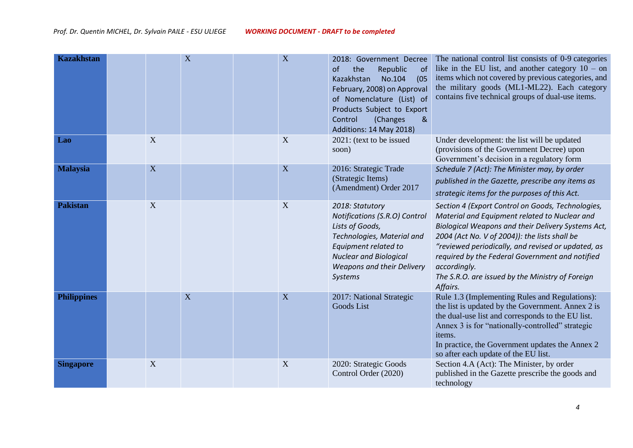| <b>Kazakhstan</b>  |                           | $\mathbf X$ | X | 2018: Government Decree<br>of<br>the<br>Republic<br><sub>of</sub><br>Kazakhstan<br>No.104<br>(05)<br>February, 2008) on Approval<br>of Nomenclature (List) of<br>Products Subject to Export<br>(Changes<br>&<br>Control<br>Additions: 14 May 2018) | The national control list consists of 0-9 categories<br>like in the EU list, and another category $10 - on$<br>items which not covered by previous categories, and<br>the military goods (ML1-ML22). Each category<br>contains five technical groups of dual-use items.                                                                                                                            |
|--------------------|---------------------------|-------------|---|----------------------------------------------------------------------------------------------------------------------------------------------------------------------------------------------------------------------------------------------------|----------------------------------------------------------------------------------------------------------------------------------------------------------------------------------------------------------------------------------------------------------------------------------------------------------------------------------------------------------------------------------------------------|
| <b>Lao</b>         | X                         |             | X | 2021: (text to be issued<br>soon)                                                                                                                                                                                                                  | Under development: the list will be updated<br>(provisions of the Government Decree) upon<br>Government's decision in a regulatory form                                                                                                                                                                                                                                                            |
| <b>Malaysia</b>    | $\boldsymbol{\mathrm{X}}$ |             | X | 2016: Strategic Trade<br>(Strategic Items)<br>(Amendment) Order 2017                                                                                                                                                                               | Schedule 7 (Act): The Minister may, by order<br>published in the Gazette, prescribe any items as<br>strategic items for the purposes of this Act.                                                                                                                                                                                                                                                  |
| <b>Pakistan</b>    | X                         |             | X | 2018: Statutory<br>Notifications (S.R.O) Control<br>Lists of Goods,<br>Technologies, Material and<br>Equipment related to<br><b>Nuclear and Biological</b><br><b>Weapons and their Delivery</b><br>Systems                                         | Section 4 (Export Control on Goods, Technologies,<br>Material and Equipment related to Nuclear and<br>Biological Weapons and their Delivery Systems Act,<br>2004 (Act No. V of 2004)): the lists shall be<br>"reviewed periodically, and revised or updated, as<br>required by the Federal Government and notified<br>accordingly.<br>The S.R.O. are issued by the Ministry of Foreign<br>Affairs. |
| <b>Philippines</b> |                           | $\mathbf X$ | X | 2017: National Strategic<br>Goods List                                                                                                                                                                                                             | Rule 1.3 (Implementing Rules and Regulations):<br>the list is updated by the Government. Annex 2 is<br>the dual-use list and corresponds to the EU list.<br>Annex 3 is for "nationally-controlled" strategic<br>items.<br>In practice, the Government updates the Annex 2<br>so after each update of the EU list.                                                                                  |
| <b>Singapore</b>   | X                         |             | X | 2020: Strategic Goods<br>Control Order (2020)                                                                                                                                                                                                      | Section 4.A (Act): The Minister, by order<br>published in the Gazette prescribe the goods and<br>technology                                                                                                                                                                                                                                                                                        |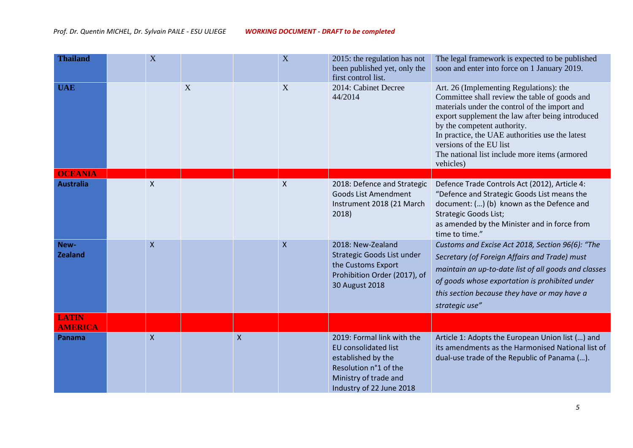| <b>Thailand</b>                | $\mathbf X$        |   |   | $\mathbf X$        | 2015: the regulation has not<br>been published yet, only the<br>first control list.                                                                           | The legal framework is expected to be published<br>soon and enter into force on 1 January 2019.                                                                                                                                                                                                                                                                          |
|--------------------------------|--------------------|---|---|--------------------|---------------------------------------------------------------------------------------------------------------------------------------------------------------|--------------------------------------------------------------------------------------------------------------------------------------------------------------------------------------------------------------------------------------------------------------------------------------------------------------------------------------------------------------------------|
| <b>UAE</b>                     |                    | X |   | X                  | 2014: Cabinet Decree<br>44/2014                                                                                                                               | Art. 26 (Implementing Regulations): the<br>Committee shall review the table of goods and<br>materials under the control of the import and<br>export supplement the law after being introduced<br>by the competent authority.<br>In practice, the UAE authorities use the latest<br>versions of the EU list<br>The national list include more items (armored<br>vehicles) |
| <b>OCEANIA</b>                 |                    |   |   |                    |                                                                                                                                                               |                                                                                                                                                                                                                                                                                                                                                                          |
| <b>Australia</b>               | $\mathsf{X}$       |   |   | $\mathsf{X}$       | 2018: Defence and Strategic<br><b>Goods List Amendment</b><br>Instrument 2018 (21 March<br>2018)                                                              | Defence Trade Controls Act (2012), Article 4:<br>"Defence and Strategic Goods List means the<br>document: () (b) known as the Defence and<br><b>Strategic Goods List;</b><br>as amended by the Minister and in force from<br>time to time."                                                                                                                              |
| New-<br><b>Zealand</b>         | $\pmb{\mathsf{X}}$ |   |   | $\pmb{\mathsf{X}}$ | 2018: New-Zealand<br>Strategic Goods List under<br>the Customs Export<br>Prohibition Order (2017), of<br>30 August 2018                                       | Customs and Excise Act 2018, Section 96(6): "The<br>Secretary (of Foreign Affairs and Trade) must<br>maintain an up-to-date list of all goods and classes<br>of goods whose exportation is prohibited under<br>this section because they have or may have a<br>strategic use"                                                                                            |
| <b>LATIN</b><br><b>AMERICA</b> |                    |   |   |                    |                                                                                                                                                               |                                                                                                                                                                                                                                                                                                                                                                          |
| Panama                         | X                  |   | X |                    | 2019: Formal link with the<br><b>EU</b> consolidated list<br>established by the<br>Resolution n°1 of the<br>Ministry of trade and<br>Industry of 22 June 2018 | Article 1: Adopts the European Union list () and<br>its amendments as the Harmonised National list of<br>dual-use trade of the Republic of Panama ().                                                                                                                                                                                                                    |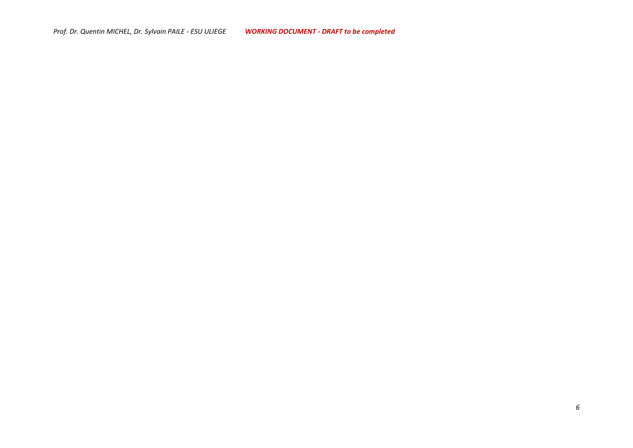*Prof. Dr. Quentin MICHEL, Dr. Sylvain PAILE - ESU ULIEGE WORKING DOCUMENT - DRAFT to be completed*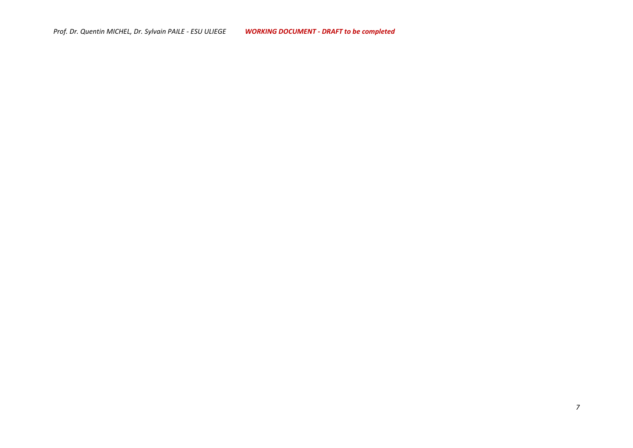*Prof. Dr. Quentin MICHEL, Dr. Sylvain PAILE - ESU ULIEGE WORKING DOCUMENT - DRAFT to be completed*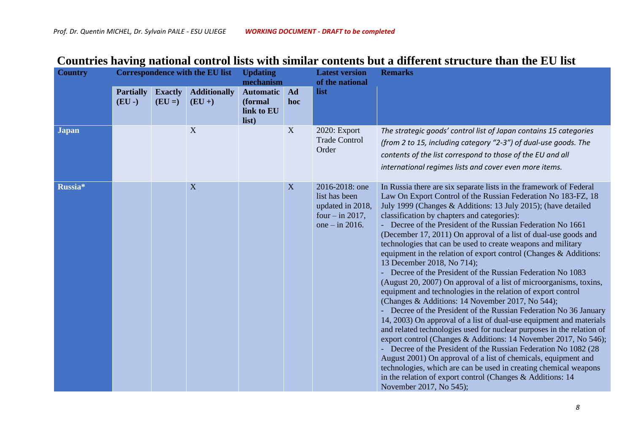| <b>Country</b> |                               |                            | <b>Correspondence with the EU list</b> | <b>Updating</b><br>mechanism                       |              | <b>Latest version</b><br>of the national                                                     | <b>Remarks</b>                                                                                                                                                                                                                                                                                                                                                                                                                                                                                                                                                                                                                                                                                                                                                                                                                                                                                                                                                                                                                                                                                                                                                                                                                                                                                                                                                                                                    |
|----------------|-------------------------------|----------------------------|----------------------------------------|----------------------------------------------------|--------------|----------------------------------------------------------------------------------------------|-------------------------------------------------------------------------------------------------------------------------------------------------------------------------------------------------------------------------------------------------------------------------------------------------------------------------------------------------------------------------------------------------------------------------------------------------------------------------------------------------------------------------------------------------------------------------------------------------------------------------------------------------------------------------------------------------------------------------------------------------------------------------------------------------------------------------------------------------------------------------------------------------------------------------------------------------------------------------------------------------------------------------------------------------------------------------------------------------------------------------------------------------------------------------------------------------------------------------------------------------------------------------------------------------------------------------------------------------------------------------------------------------------------------|
|                | <b>Partially</b><br>$(EU - )$ | <b>Exactly</b><br>$(EU =)$ | <b>Additionally</b><br>$(EU +)$        | <b>Automatic</b><br>(formal<br>link to EU<br>list) | Ad<br>hoc    | list                                                                                         |                                                                                                                                                                                                                                                                                                                                                                                                                                                                                                                                                                                                                                                                                                                                                                                                                                                                                                                                                                                                                                                                                                                                                                                                                                                                                                                                                                                                                   |
| <b>Japan</b>   |                               |                            | X                                      |                                                    | $\mathbf{X}$ | 2020: Export<br><b>Trade Control</b><br>Order                                                | The strategic goods' control list of Japan contains 15 categories<br>(from 2 to 15, including category "2-3") of dual-use goods. The<br>contents of the list correspond to those of the EU and all<br>international regimes lists and cover even more items.                                                                                                                                                                                                                                                                                                                                                                                                                                                                                                                                                                                                                                                                                                                                                                                                                                                                                                                                                                                                                                                                                                                                                      |
| Russia*        |                               |                            | X                                      |                                                    | X            | 2016-2018: one<br>list has been<br>updated in 2018,<br>four $-$ in 2017,<br>one $-$ in 2016. | In Russia there are six separate lists in the framework of Federal<br>Law On Export Control of the Russian Federation No 183-FZ, 18<br>July 1999 (Changes & Additions: 13 July 2015); (have detailed<br>classification by chapters and categories):<br>- Decree of the President of the Russian Federation No 1661<br>(December 17, 2011) On approval of a list of dual-use goods and<br>technologies that can be used to create weapons and military<br>equipment in the relation of export control (Changes $\&$ Additions:<br>13 December 2018, No 714);<br>- Decree of the President of the Russian Federation No 1083<br>(August 20, 2007) On approval of a list of microorganisms, toxins,<br>equipment and technologies in the relation of export control<br>(Changes & Additions: 14 November 2017, No 544);<br>- Decree of the President of the Russian Federation No 36 January<br>14, 2003) On approval of a list of dual-use equipment and materials<br>and related technologies used for nuclear purposes in the relation of<br>export control (Changes & Additions: 14 November 2017, No 546);<br>- Decree of the President of the Russian Federation No 1082 (28)<br>August 2001) On approval of a list of chemicals, equipment and<br>technologies, which are can be used in creating chemical weapons<br>in the relation of export control (Changes $&$ Additions: 14<br>November 2017, No 545); |

## **Countries having national control lists with similar contents but a different structure than the EU list**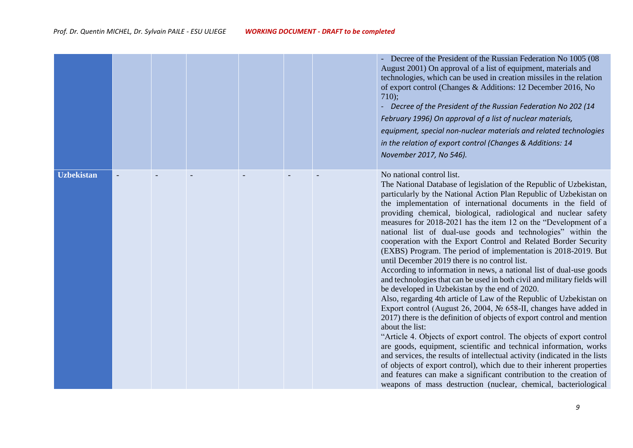|                   |  |  |  | - Decree of the President of the Russian Federation No 1005 (08)<br>August 2001) On approval of a list of equipment, materials and<br>technologies, which can be used in creation missiles in the relation<br>of export control (Changes & Additions: 12 December 2016, No<br>$710$ ;<br>- Decree of the President of the Russian Federation No 202 (14<br>February 1996) On approval of a list of nuclear materials,<br>equipment, special non-nuclear materials and related technologies<br>in the relation of export control (Changes & Additions: 14<br>November 2017, No 546).                                                                                                                                                                                                                                                                                                                                                                                                                                                                                                                                                                                                                                                                                                                                                                                                                                                                                                                                                          |
|-------------------|--|--|--|----------------------------------------------------------------------------------------------------------------------------------------------------------------------------------------------------------------------------------------------------------------------------------------------------------------------------------------------------------------------------------------------------------------------------------------------------------------------------------------------------------------------------------------------------------------------------------------------------------------------------------------------------------------------------------------------------------------------------------------------------------------------------------------------------------------------------------------------------------------------------------------------------------------------------------------------------------------------------------------------------------------------------------------------------------------------------------------------------------------------------------------------------------------------------------------------------------------------------------------------------------------------------------------------------------------------------------------------------------------------------------------------------------------------------------------------------------------------------------------------------------------------------------------------|
| <b>Uzbekistan</b> |  |  |  | No national control list.<br>The National Database of legislation of the Republic of Uzbekistan,<br>particularly by the National Action Plan Republic of Uzbekistan on<br>the implementation of international documents in the field of<br>providing chemical, biological, radiological and nuclear safety<br>measures for 2018-2021 has the item 12 on the "Development of a<br>national list of dual-use goods and technologies" within the<br>cooperation with the Export Control and Related Border Security<br>(EXBS) Program. The period of implementation is 2018-2019. But<br>until December 2019 there is no control list.<br>According to information in news, a national list of dual-use goods<br>and technologies that can be used in both civil and military fields will<br>be developed in Uzbekistan by the end of 2020.<br>Also, regarding 4th article of Law of the Republic of Uzbekistan on<br>Export control (August 26, 2004, $\mathcal{N}_2$ 658-II, changes have added in<br>2017) there is the definition of objects of export control and mention<br>about the list:<br>"Article 4. Objects of export control. The objects of export control<br>are goods, equipment, scientific and technical information, works<br>and services, the results of intellectual activity (indicated in the lists<br>of objects of export control), which due to their inherent properties<br>and features can make a significant contribution to the creation of<br>weapons of mass destruction (nuclear, chemical, bacteriological |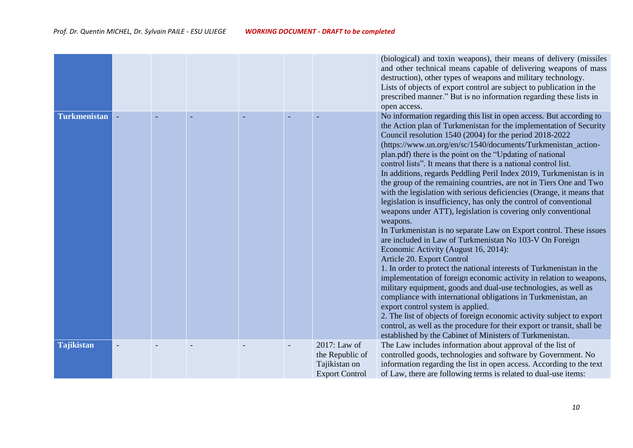|                     |  |  |                                                                           | (biological) and toxin weapons), their means of delivery (missiles<br>and other technical means capable of delivering weapons of mass<br>destruction), other types of weapons and military technology.<br>Lists of objects of export control are subject to publication in the<br>prescribed manner." But is no information regarding these lists in<br>open access.                                                                                                                                                                                                                                                                                                                                                                                                                                                                                                                                                                                                                                                                                                                                                                                                                                                                                                                                                                                                                                                                                                                                                          |
|---------------------|--|--|---------------------------------------------------------------------------|-------------------------------------------------------------------------------------------------------------------------------------------------------------------------------------------------------------------------------------------------------------------------------------------------------------------------------------------------------------------------------------------------------------------------------------------------------------------------------------------------------------------------------------------------------------------------------------------------------------------------------------------------------------------------------------------------------------------------------------------------------------------------------------------------------------------------------------------------------------------------------------------------------------------------------------------------------------------------------------------------------------------------------------------------------------------------------------------------------------------------------------------------------------------------------------------------------------------------------------------------------------------------------------------------------------------------------------------------------------------------------------------------------------------------------------------------------------------------------------------------------------------------------|
| <b>Turkmenistan</b> |  |  |                                                                           | No information regarding this list in open access. But according to<br>the Action plan of Turkmenistan for the implementation of Security<br>Council resolution 1540 (2004) for the period 2018-2022<br>(https://www.un.org/en/sc/1540/documents/Turkmenistan_action-<br>plan.pdf) there is the point on the "Updating of national<br>control lists". It means that there is a national control list.<br>In additions, regards Peddling Peril Index 2019, Turkmenistan is in<br>the group of the remaining countries, are not in Tiers One and Two<br>with the legislation with serious deficiencies (Orange, it means that<br>legislation is insufficiency, has only the control of conventional<br>weapons under ATT), legislation is covering only conventional<br>weapons.<br>In Turkmenistan is no separate Law on Export control. These issues<br>are included in Law of Turkmenistan No 103-V On Foreign<br>Economic Activity (August 16, 2014):<br>Article 20. Export Control<br>1. In order to protect the national interests of Turkmenistan in the<br>implementation of foreign economic activity in relation to weapons,<br>military equipment, goods and dual-use technologies, as well as<br>compliance with international obligations in Turkmenistan, an<br>export control system is applied.<br>2. The list of objects of foreign economic activity subject to export<br>control, as well as the procedure for their export or transit, shall be<br>established by the Cabinet of Ministers of Turkmenistan. |
| <b>Tajikistan</b>   |  |  | 2017: Law of<br>the Republic of<br>Tajikistan on<br><b>Export Control</b> | The Law includes information about approval of the list of<br>controlled goods, technologies and software by Government. No<br>information regarding the list in open access. According to the text<br>of Law, there are following terms is related to dual-use items:                                                                                                                                                                                                                                                                                                                                                                                                                                                                                                                                                                                                                                                                                                                                                                                                                                                                                                                                                                                                                                                                                                                                                                                                                                                        |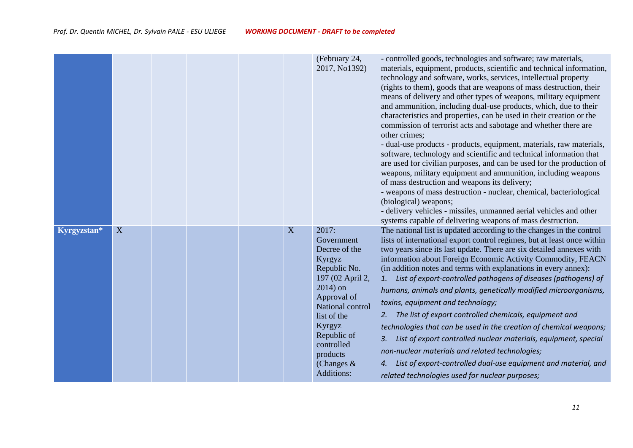|             |   |  |   | (February 24,                                                                                                                                                                                                                      | - controlled goods, technologies and software; raw materials,                                                                                                                                                                                                                                                                                                                                                                                                                                                                                                                                                                                                                                                                                                                                                                                                                                                                                                                                                                                                                                   |
|-------------|---|--|---|------------------------------------------------------------------------------------------------------------------------------------------------------------------------------------------------------------------------------------|-------------------------------------------------------------------------------------------------------------------------------------------------------------------------------------------------------------------------------------------------------------------------------------------------------------------------------------------------------------------------------------------------------------------------------------------------------------------------------------------------------------------------------------------------------------------------------------------------------------------------------------------------------------------------------------------------------------------------------------------------------------------------------------------------------------------------------------------------------------------------------------------------------------------------------------------------------------------------------------------------------------------------------------------------------------------------------------------------|
|             |   |  |   | 2017, No1392)                                                                                                                                                                                                                      | materials, equipment, products, scientific and technical information,<br>technology and software, works, services, intellectual property<br>(rights to them), goods that are weapons of mass destruction, their<br>means of delivery and other types of weapons, military equipment<br>and ammunition, including dual-use products, which, due to their<br>characteristics and properties, can be used in their creation or the<br>commission of terrorist acts and sabotage and whether there are<br>other crimes;<br>- dual-use products - products, equipment, materials, raw materials,<br>software, technology and scientific and technical information that<br>are used for civilian purposes, and can be used for the production of<br>weapons, military equipment and ammunition, including weapons<br>of mass destruction and weapons its delivery;<br>- weapons of mass destruction - nuclear, chemical, bacteriological<br>(biological) weapons;<br>- delivery vehicles - missiles, unmanned aerial vehicles and other<br>systems capable of delivering weapons of mass destruction. |
| Kyrgyzstan* | X |  | X | 2017:<br>Government<br>Decree of the<br>Kyrgyz<br>Republic No.<br>197 (02 April 2,<br>$2014$ ) on<br>Approval of<br>National control<br>list of the<br>Kyrgyz<br>Republic of<br>controlled<br>products<br>(Changes &<br>Additions: | The national list is updated according to the changes in the control<br>lists of international export control regimes, but at least once within<br>two years since its last update. There are six detailed annexes with<br>information about Foreign Economic Activity Commodity, FEACN<br>(in addition notes and terms with explanations in every annex):<br>1. List of export-controlled pathogens of diseases (pathogens) of<br>humans, animals and plants, genetically modified microorganisms,<br>toxins, equipment and technology;<br>2. The list of export controlled chemicals, equipment and<br>technologies that can be used in the creation of chemical weapons;<br>3. List of export controlled nuclear materials, equipment, special<br>non-nuclear materials and related technologies;<br>4. List of export-controlled dual-use equipment and material, and<br>related technologies used for nuclear purposes;                                                                                                                                                                    |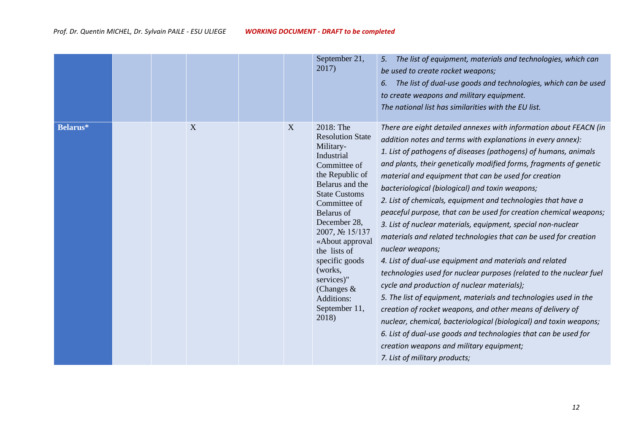|          |   |             | September 21,<br>2017)                                                                                                                                                                                                                                                                                                                              | 5. The list of equipment, materials and technologies, which can<br>be used to create rocket weapons;<br>The list of dual-use goods and technologies, which can be used<br>6.<br>to create weapons and military equipment.<br>The national list has similarities with the EU list.                                                                                                                                                                                                                                                                                                                                                                                                                                                                                                                                                                                                                                                                                                                                                                                                                                                                                                                                          |
|----------|---|-------------|-----------------------------------------------------------------------------------------------------------------------------------------------------------------------------------------------------------------------------------------------------------------------------------------------------------------------------------------------------|----------------------------------------------------------------------------------------------------------------------------------------------------------------------------------------------------------------------------------------------------------------------------------------------------------------------------------------------------------------------------------------------------------------------------------------------------------------------------------------------------------------------------------------------------------------------------------------------------------------------------------------------------------------------------------------------------------------------------------------------------------------------------------------------------------------------------------------------------------------------------------------------------------------------------------------------------------------------------------------------------------------------------------------------------------------------------------------------------------------------------------------------------------------------------------------------------------------------------|
| Belarus* | X | $\mathbf X$ | 2018: The<br><b>Resolution State</b><br>Military-<br>Industrial<br>Committee of<br>the Republic of<br>Belarus and the<br><b>State Customs</b><br>Committee of<br>Belarus of<br>December 28,<br>2007, № 15/137<br>«About approval<br>the lists of<br>specific goods<br>(works,<br>services)"<br>(Changes $&$<br>Additions:<br>September 11,<br>2018) | There are eight detailed annexes with information about FEACN (in<br>addition notes and terms with explanations in every annex):<br>1. List of pathogens of diseases (pathogens) of humans, animals<br>and plants, their genetically modified forms, fragments of genetic<br>material and equipment that can be used for creation<br>bacteriological (biological) and toxin weapons;<br>2. List of chemicals, equipment and technologies that have a<br>peaceful purpose, that can be used for creation chemical weapons;<br>3. List of nuclear materials, equipment, special non-nuclear<br>materials and related technologies that can be used for creation<br>nuclear weapons;<br>4. List of dual-use equipment and materials and related<br>technologies used for nuclear purposes (related to the nuclear fuel<br>cycle and production of nuclear materials);<br>5. The list of equipment, materials and technologies used in the<br>creation of rocket weapons, and other means of delivery of<br>nuclear, chemical, bacteriological (biological) and toxin weapons;<br>6. List of dual-use goods and technologies that can be used for<br>creation weapons and military equipment;<br>7. List of military products; |